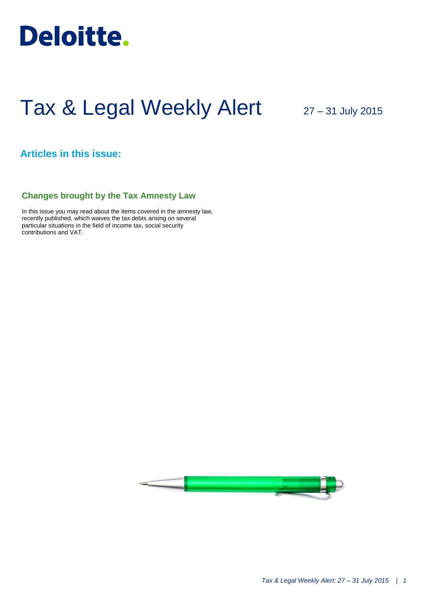

# Tax & Legal Weekly Alert

27 – 31 July 2015

## **Articles in this issue:**

## **Changes brought by the Tax Amnesty Law**

In this issue you may read about the items covered in the amnesty law, recently published, which waives the tax debts arising on several particular situations in the field of income tax, social security contributions and VAT.

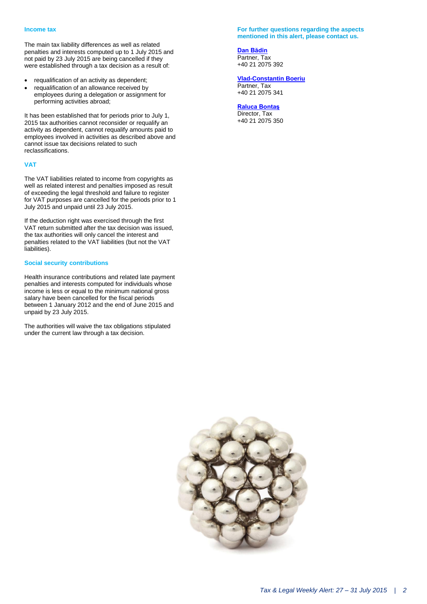The main tax liability differences as well as related penalties and interests computed up to 1 July 2015 and not paid by 23 July 2015 are being cancelled if they were established through a tax decision as a result of:

- requalification of an activity as dependent;
- requalification of an allowance received by employees during a delegation or assignment for performing activities abroad;

It has been established that for periods prior to July 1, 2015 tax authorities cannot reconsider or requalify an activity as dependent, cannot requalify amounts paid to employees involved in activities as described above and cannot issue tax decisions related to such reclassifications.

#### **VAT**

The VAT liabilities related to income from copyrights as well as related interest and penalties imposed as result of exceeding the legal threshold and failure to register for VAT purposes are cancelled for the periods prior to 1 July 2015 and unpaid until 23 July 2015.

If the deduction right was exercised through the first VAT return submitted after the tax decision was issued, the tax authorities will only cancel the interest and penalties related to the VAT liabilities (but not the VAT liabilities).

#### **Social security contributions**

Health insurance contributions and related late payment penalties and interests computed for individuals whose income is less or equal to the minimum national gross salary have been cancelled for the fiscal periods between 1 January 2012 and the end of June 2015 and unpaid by 23 July 2015.

The authorities will waive the tax obligations stipulated under the current law through a tax decision.

#### **For further questions regarding the aspects mentioned in this alert, please contact us.**

**[Dan Bădin](mailto:dbadin@deloittece.com)** Partner, Tax +40 21 2075 392

### **[Vlad-Constantin Boeriu](mailto:vboeriu@deloittece.com)**

Partner, Tax +40 21 2075 341

**[Raluca Bontaş](mailto:rbontas@deloittece.com)**

Director, Tax +40 21 2075 350